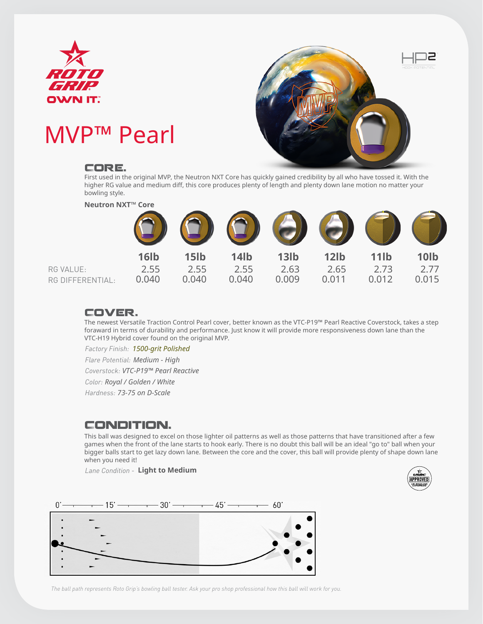

# MVP™ Pearl

#### Core.



First used in the original MVP, the Neutron NXT Core has quickly gained credibility by all who have tossed it. With the higher RG value and medium diff, this core produces plenty of length and plenty down lane motion no matter your bowling style.



### Cover.

The newest Versatile Traction Control Pearl cover, better known as the VTC-P19™ Pearl Reactive Coverstock, takes a step foraward in terms of durability and performance. Just know it will provide more responsiveness down lane than the VTC-H19 Hybrid cover found on the original MVP.

*Factory Finish: 1500-grit Polished*

*Flare Potential: Medium - High*

*Coverstock: VTC-P19™ Pearl Reactive*

*Color: Royal / Golden / White*

*Hardness: 73-75 on D-Scale*

## Condition.

This ball was designed to excel on those lighter oil patterns as well as those patterns that have transitioned after a few games when the front of the lane starts to hook early. There is no doubt this ball will be an ideal "go to" ball when your bigger balls start to get lazy down lane. Between the core and the cover, this ball will provide plenty of shape down lane when you need it!

*Lane Condition -*  **Light to Medium**





*The ball path represents Roto Grip's bowling ball tester. Ask your pro shop professional how this ball will work for you.*